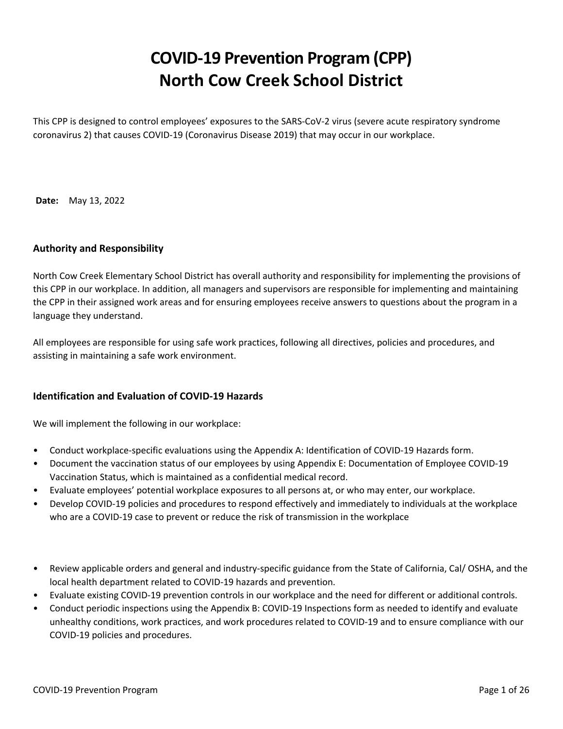# **COVID-19 Prevention Program (CPP) North Cow Creek School District**

This CPP is designed to control employees' exposures to the SARS-CoV-2 virus (severe acute respiratory syndrome coronavirus 2) that causes COVID-19 (Coronavirus Disease 2019) that may occur in our workplace.

**Date:** May 13, 2022

# **Authority and Responsibility**

North Cow Creek Elementary School District has overall authority and responsibility for implementing the provisions of this CPP in our workplace. In addition, all managers and supervisors are responsible for implementing and maintaining the CPP in their assigned work areas and for ensuring employees receive answers to questions about the program in a language they understand.

All employees are responsible for using safe work practices, following all directives, policies and procedures, and assisting in maintaining a safe work environment.

### **Identification and Evaluation of COVID-19 Hazards**

We will implement the following in our workplace:

- Conduct workplace-specific evaluations using the Appendix A: Identification of COVID-19 Hazards form.
- Document the vaccination status of our employees by using Appendix E: Documentation of Employee COVID-19 Vaccination Status, which is maintained as a confidential medical record.
- Evaluate employees' potential workplace exposures to all persons at, or who may enter, our workplace.
- Develop COVID-19 policies and procedures to respond effectively and immediately to individuals at the workplace who are a COVID-19 case to prevent or reduce the risk of transmission in the workplace
- Review applicable orders and general and industry-specific guidance from the State of California, Cal/ OSHA, and the local health department related to COVID-19 hazards and prevention.
- Evaluate existing COVID-19 prevention controls in our workplace and the need for different or additional controls.
- Conduct periodic inspections using the Appendix B: COVID-19 Inspections form as needed to identify and evaluate unhealthy conditions, work practices, and work procedures related to COVID-19 and to ensure compliance with our COVID-19 policies and procedures.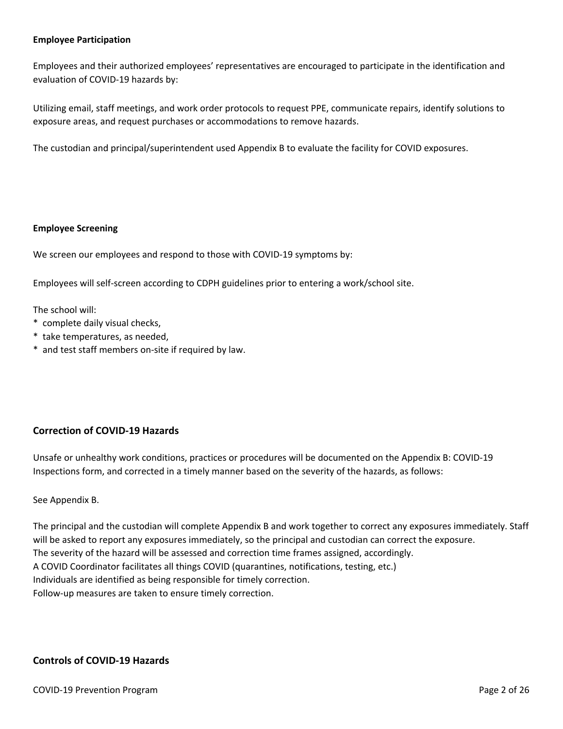### **Employee Participation**

Employees and their authorized employees' representatives are encouraged to participate in the identification and evaluation of COVID-19 hazards by:

Utilizing email, staff meetings, and work order protocols to request PPE, communicate repairs, identify solutions to exposure areas, and request purchases or accommodations to remove hazards.

The custodian and principal/superintendent used Appendix B to evaluate the facility for COVID exposures.

### **Employee Screening**

We screen our employees and respond to those with COVID-19 symptoms by:

Employees will self-screen according to CDPH guidelines prior to entering a work/school site.

The school will:

- \* complete daily visual checks,
- \* take temperatures, as needed,
- \* and test staff members on-site if required by law.

# **Correction of COVID-19 Hazards**

Unsafe or unhealthy work conditions, practices or procedures will be documented on the Appendix B: COVID-19 Inspections form, and corrected in a timely manner based on the severity of the hazards, as follows:

### See Appendix B.

The principal and the custodian will complete Appendix B and work together to correct any exposures immediately. Staff will be asked to report any exposures immediately, so the principal and custodian can correct the exposure. The severity of the hazard will be assessed and correction time frames assigned, accordingly. A COVID Coordinator facilitates all things COVID (quarantines, notifications, testing, etc.) Individuals are identified as being responsible for timely correction. Follow-up measures are taken to ensure timely correction.

# **Controls of COVID-19 Hazards**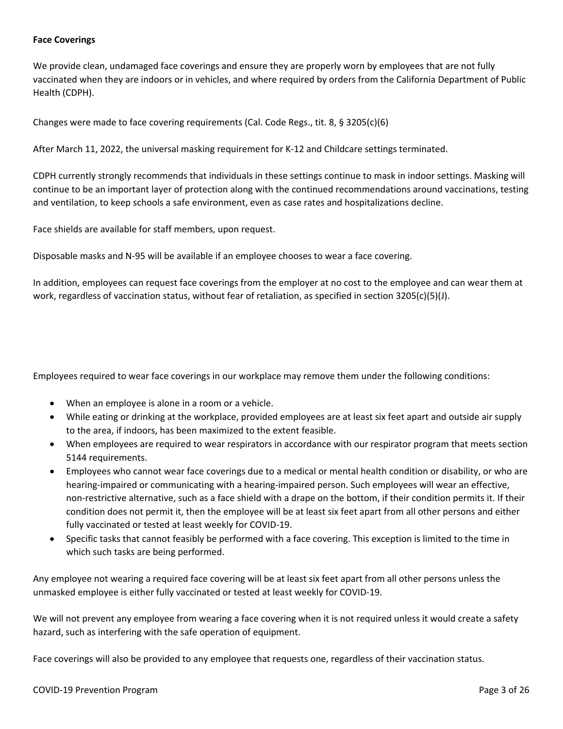### **Face Coverings**

We provide clean, undamaged face coverings and ensure they are properly worn by employees that are not fully vaccinated when they are indoors or in vehicles, and where required by orders from the California Department of Public Health (CDPH).

Changes were made to face covering requirements (Cal. Code Regs., tit. 8, § 3205(c)(6)

After March 11, 2022, the universal masking requirement for K-12 and Childcare settings terminated.

CDPH currently strongly recommends that individuals in these settings continue to mask in indoor settings. Masking will continue to be an important layer of protection along with the continued recommendations around vaccinations, testing and ventilation, to keep schools a safe environment, even as case rates and hospitalizations decline.

Face shields are available for staff members, upon request.

Disposable masks and N-95 will be available if an employee chooses to wear a face covering.

In addition, employees can request face coverings from the employer at no cost to the employee and can wear them at work, regardless of vaccination status, without fear of retaliation, as specified in section 3205(c)(5)(J).

Employees required to wear face coverings in our workplace may remove them under the following conditions:

- When an employee is alone in a room or a vehicle.
- While eating or drinking at the workplace, provided employees are at least six feet apart and outside air supply to the area, if indoors, has been maximized to the extent feasible.
- When employees are required to wear respirators in accordance with our respirator program that meets section 5144 requirements.
- Employees who cannot wear face coverings due to a medical or mental health condition or disability, or who are hearing-impaired or communicating with a hearing-impaired person. Such employees will wear an effective, non-restrictive alternative, such as a face shield with a drape on the bottom, if their condition permits it. If their condition does not permit it, then the employee will be at least six feet apart from all other persons and either fully vaccinated or tested at least weekly for COVID-19.
- Specific tasks that cannot feasibly be performed with a face covering. This exception is limited to the time in which such tasks are being performed.

Any employee not wearing a required face covering will be at least six feet apart from all other persons unless the unmasked employee is either fully vaccinated or tested at least weekly for COVID-19.

We will not prevent any employee from wearing a face covering when it is not required unless it would create a safety hazard, such as interfering with the safe operation of equipment.

Face coverings will also be provided to any employee that requests one, regardless of their vaccination status.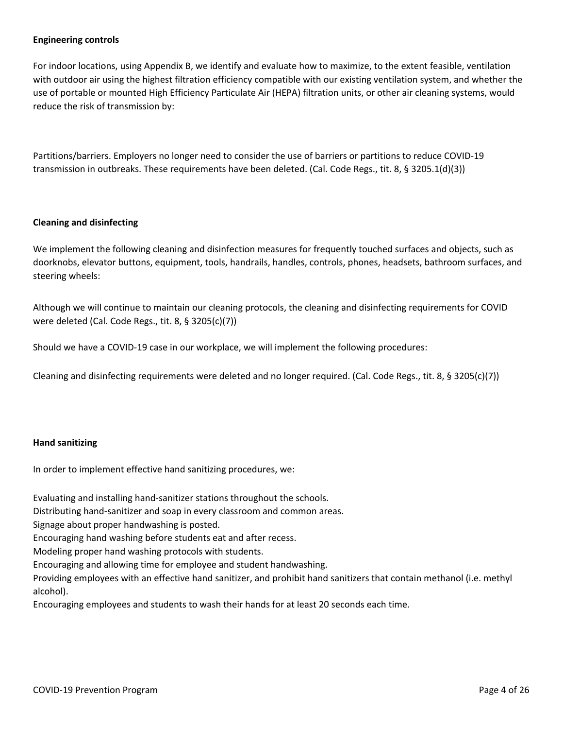### **Engineering controls**

For indoor locations, using Appendix B, we identify and evaluate how to maximize, to the extent feasible, ventilation with outdoor air using the highest filtration efficiency compatible with our existing ventilation system, and whether the use of portable or mounted High Efficiency Particulate Air (HEPA) filtration units, or other air cleaning systems, would reduce the risk of transmission by:

Partitions/barriers. Employers no longer need to consider the use of barriers or partitions to reduce COVID-19 transmission in outbreaks. These requirements have been deleted. (Cal. Code Regs., tit. 8, § 3205.1(d)(3))

### **Cleaning and disinfecting**

We implement the following cleaning and disinfection measures for frequently touched surfaces and objects, such as doorknobs, elevator buttons, equipment, tools, handrails, handles, controls, phones, headsets, bathroom surfaces, and steering wheels:

Although we will continue to maintain our cleaning protocols, the cleaning and disinfecting requirements for COVID were deleted (Cal. Code Regs., tit. 8, § 3205(c)(7))

Should we have a COVID-19 case in our workplace, we will implement the following procedures:

Cleaning and disinfecting requirements were deleted and no longer required. (Cal. Code Regs., tit. 8, § 3205(c)(7))

#### **Hand sanitizing**

In order to implement effective hand sanitizing procedures, we:

Evaluating and installing hand-sanitizer stations throughout the schools.

Distributing hand-sanitizer and soap in every classroom and common areas.

Signage about proper handwashing is posted.

Encouraging hand washing before students eat and after recess.

Modeling proper hand washing protocols with students.

Encouraging and allowing time for employee and student handwashing.

Providing employees with an effective hand sanitizer, and prohibit hand sanitizers that contain methanol (i.e. methyl alcohol).

Encouraging employees and students to wash their hands for at least 20 seconds each time.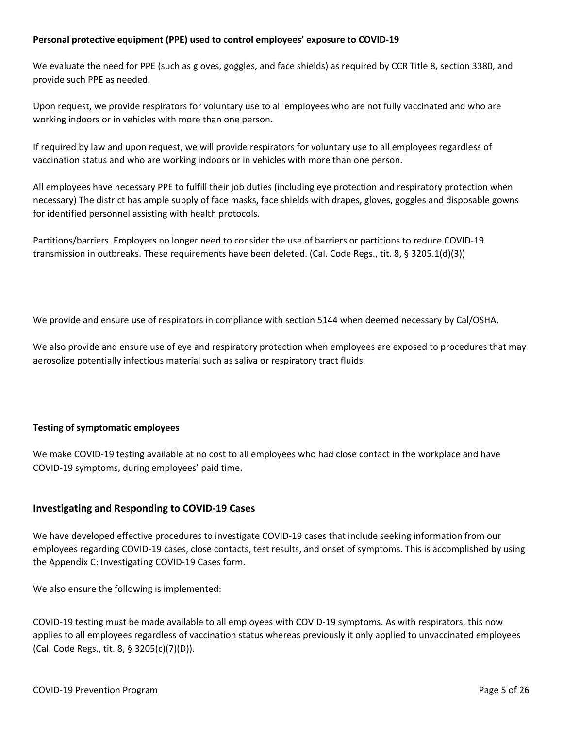### **Personal protective equipment (PPE) used to control employees' exposure to COVID-19**

We evaluate the need for PPE (such as gloves, goggles, and face shields) as required by CCR Title 8, section 3380, and provide such PPE as needed.

Upon request, we provide respirators for voluntary use to all employees who are not fully vaccinated and who are working indoors or in vehicles with more than one person.

If required by law and upon request, we will provide respirators for voluntary use to all employees regardless of vaccination status and who are working indoors or in vehicles with more than one person.

All employees have necessary PPE to fulfill their job duties (including eye protection and respiratory protection when necessary) The district has ample supply of face masks, face shields with drapes, gloves, goggles and disposable gowns for identified personnel assisting with health protocols.

Partitions/barriers. Employers no longer need to consider the use of barriers or partitions to reduce COVID-19 transmission in outbreaks. These requirements have been deleted. (Cal. Code Regs., tit. 8, § 3205.1(d)(3))

We provide and ensure use of respirators in compliance with section 5144 when deemed necessary by Cal/OSHA.

We also provide and ensure use of eye and respiratory protection when employees are exposed to procedures that may aerosolize potentially infectious material such as saliva or respiratory tract fluids.

### **Testing of symptomatic employees**

We make COVID-19 testing available at no cost to all employees who had close contact in the workplace and have COVID-19 symptoms, during employees' paid time.

# **Investigating and Responding to COVID-19 Cases**

We have developed effective procedures to investigate COVID-19 cases that include seeking information from our employees regarding COVID-19 cases, close contacts, test results, and onset of symptoms. This is accomplished by using the Appendix C: Investigating COVID-19 Cases form.

We also ensure the following is implemented:

COVID-19 testing must be made available to all employees with COVID-19 symptoms. As with respirators, this now applies to all employees regardless of vaccination status whereas previously it only applied to unvaccinated employees (Cal. Code Regs., tit. 8, § 3205(c)(7)(D)).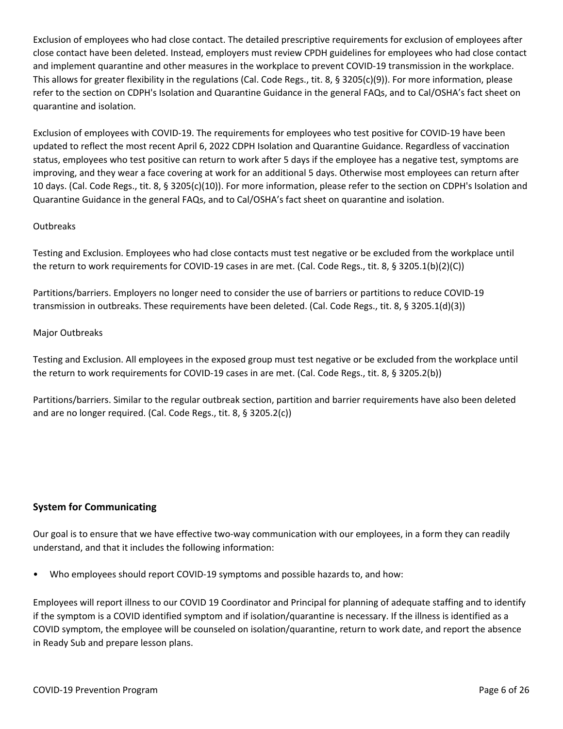Exclusion of employees who had close contact. The detailed prescriptive requirements for exclusion of employees after close contact have been deleted. Instead, employers must review CPDH guidelines for employees who had close contact and implement quarantine and other measures in the workplace to prevent COVID-19 transmission in the workplace. This allows for greater flexibility in the regulations (Cal. Code Regs., tit. 8, § 3205(c)(9)). For more information, please refer to the section on CDPH's Isolation and Quarantine Guidance in the general FAQs, and to Cal/OSHA's fact sheet on quarantine and isolation.

Exclusion of employees with COVID-19. The requirements for employees who test positive for COVID-19 have been updated to reflect the most recent April 6, 2022 CDPH Isolation and Quarantine Guidance. Regardless of vaccination status, employees who test positive can return to work after 5 days if the employee has a negative test, symptoms are improving, and they wear a face covering at work for an additional 5 days. Otherwise most employees can return after 10 days. (Cal. Code Regs., tit. 8, § 3205(c)(10)). For more information, please refer to the section on CDPH's Isolation and Quarantine Guidance in the general FAQs, and to Cal/OSHA's fact sheet on quarantine and isolation.

# **Outbreaks**

Testing and Exclusion. Employees who had close contacts must test negative or be excluded from the workplace until the return to work requirements for COVID-19 cases in are met. (Cal. Code Regs., tit. 8, § 3205.1(b)(2)(C))

Partitions/barriers. Employers no longer need to consider the use of barriers or partitions to reduce COVID-19 transmission in outbreaks. These requirements have been deleted. (Cal. Code Regs., tit. 8, § 3205.1(d)(3))

### Major Outbreaks

Testing and Exclusion. All employees in the exposed group must test negative or be excluded from the workplace until the return to work requirements for COVID-19 cases in are met. (Cal. Code Regs., tit. 8, § 3205.2(b))

Partitions/barriers. Similar to the regular outbreak section, partition and barrier requirements have also been deleted and are no longer required. (Cal. Code Regs., tit. 8, § 3205.2(c))

# **System for Communicating**

Our goal is to ensure that we have effective two-way communication with our employees, in a form they can readily understand, and that it includes the following information:

• Who employees should report COVID-19 symptoms and possible hazards to, and how:

Employees will report illness to our COVID 19 Coordinator and Principal for planning of adequate staffing and to identify if the symptom is a COVID identified symptom and if isolation/quarantine is necessary. If the illness is identified as a COVID symptom, the employee will be counseled on isolation/quarantine, return to work date, and report the absence in Ready Sub and prepare lesson plans.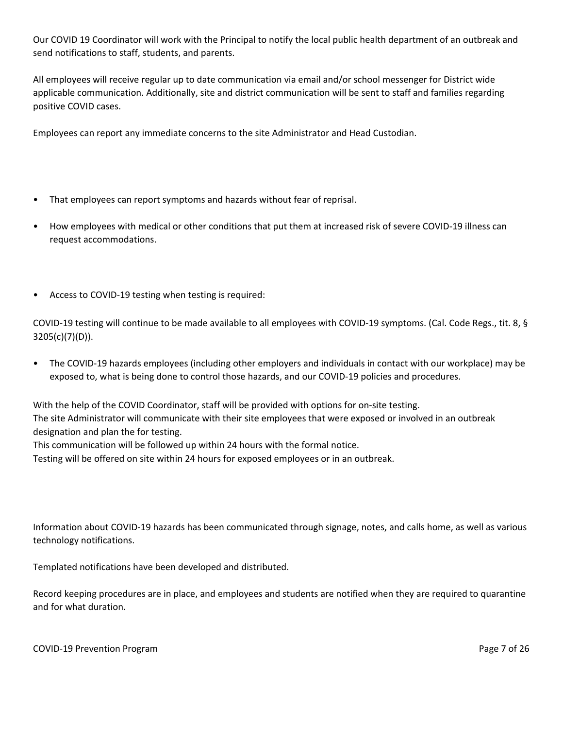Our COVID 19 Coordinator will work with the Principal to notify the local public health department of an outbreak and send notifications to staff, students, and parents.

All employees will receive regular up to date communication via email and/or school messenger for District wide applicable communication. Additionally, site and district communication will be sent to staff and families regarding positive COVID cases.

Employees can report any immediate concerns to the site Administrator and Head Custodian.

- That employees can report symptoms and hazards without fear of reprisal.
- How employees with medical or other conditions that put them at increased risk of severe COVID-19 illness can request accommodations.
- Access to COVID-19 testing when testing is required:

COVID-19 testing will continue to be made available to all employees with COVID-19 symptoms. (Cal. Code Regs., tit. 8, § 3205(c)(7)(D)).

• The COVID-19 hazards employees (including other employers and individuals in contact with our workplace) may be exposed to, what is being done to control those hazards, and our COVID-19 policies and procedures.

With the help of the COVID Coordinator, staff will be provided with options for on-site testing. The site Administrator will communicate with their site employees that were exposed or involved in an outbreak designation and plan the for testing.

This communication will be followed up within 24 hours with the formal notice.

Testing will be offered on site within 24 hours for exposed employees or in an outbreak.

Information about COVID-19 hazards has been communicated through signage, notes, and calls home, as well as various technology notifications.

Templated notifications have been developed and distributed.

Record keeping procedures are in place, and employees and students are notified when they are required to quarantine and for what duration.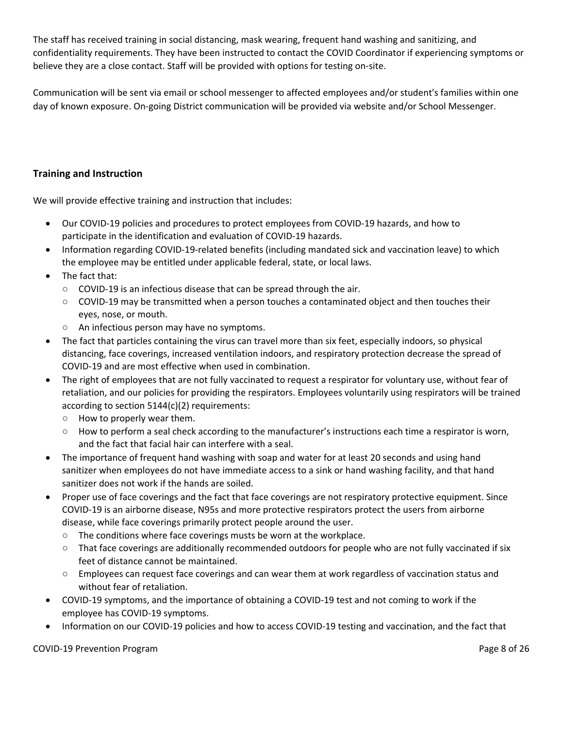The staff has received training in social distancing, mask wearing, frequent hand washing and sanitizing, and confidentiality requirements. They have been instructed to contact the COVID Coordinator if experiencing symptoms or believe they are a close contact. Staff will be provided with options for testing on-site.

Communication will be sent via email or school messenger to affected employees and/or student's families within one day of known exposure. On-going District communication will be provided via website and/or School Messenger.

# **Training and Instruction**

We will provide effective training and instruction that includes:

- Our COVID-19 policies and procedures to protect employees from COVID-19 hazards, and how to participate in the identification and evaluation of COVID-19 hazards.
- Information regarding COVID-19-related benefits (including mandated sick and vaccination leave) to which the employee may be entitled under applicable federal, state, or local laws.
- The fact that:
	- **○** COVID-19 is an infectious disease that can be spread through the air.
	- **○** COVID-19 may be transmitted when a person touches a contaminated object and then touches their eyes, nose, or mouth.
	- **○** An infectious person may have no symptoms.
- The fact that particles containing the virus can travel more than six feet, especially indoors, so physical distancing, face coverings, increased ventilation indoors, and respiratory protection decrease the spread of COVID-19 and are most effective when used in combination.
- The right of employees that are not fully vaccinated to request a respirator for voluntary use, without fear of retaliation, and our policies for providing the respirators. Employees voluntarily using respirators will be trained according to section 5144(c)(2) requirements:
	- **○** How to properly wear them.
	- **○** How to perform a seal check according to the manufacturer's instructions each time a respirator is worn, and the fact that facial hair can interfere with a seal.
- The importance of frequent hand washing with soap and water for at least 20 seconds and using hand sanitizer when employees do not have immediate access to a sink or hand washing facility, and that hand sanitizer does not work if the hands are soiled.
- Proper use of face coverings and the fact that face coverings are not respiratory protective equipment. Since COVID-19 is an airborne disease, N95s and more protective respirators protect the users from airborne disease, while face coverings primarily protect people around the user.
	- **○** The conditions where face coverings musts be worn at the workplace.
	- **○** That face coverings are additionally recommended outdoors for people who are not fully vaccinated if six feet of distance cannot be maintained.
	- **○** Employees can request face coverings and can wear them at work regardless of vaccination status and without fear of retaliation.
- COVID-19 symptoms, and the importance of obtaining a COVID-19 test and not coming to work if the employee has COVID-19 symptoms.
- Information on our COVID-19 policies and how to access COVID-19 testing and vaccination, and the fact that

COVID-19 Prevention Program **Program** Page 8 of 26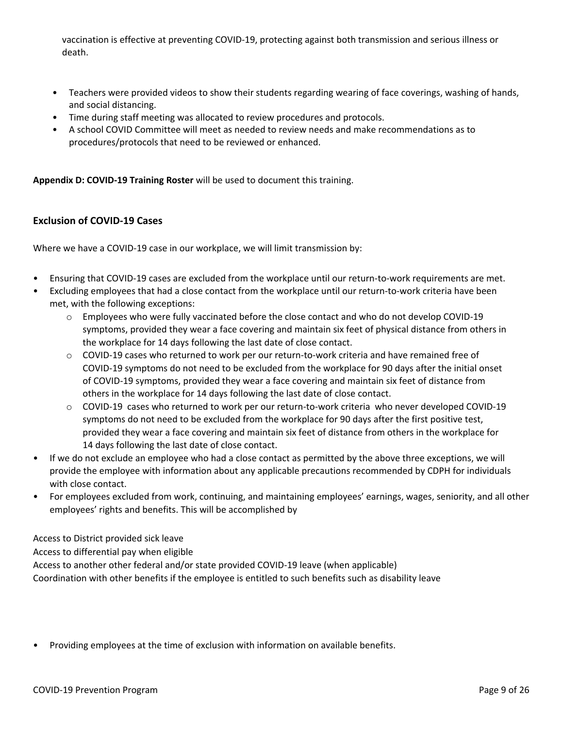vaccination is effective at preventing COVID-19, protecting against both transmission and serious illness or death.

- Teachers were provided videos to show their students regarding wearing of face coverings, washing of hands, and social distancing.
- Time during staff meeting was allocated to review procedures and protocols.
- A school COVID Committee will meet as needed to review needs and make recommendations as to procedures/protocols that need to be reviewed or enhanced.

**Appendix D: COVID-19 Training Roster** will be used to document this training.

# **Exclusion of COVID-19 Cases**

Where we have a COVID-19 case in our workplace, we will limit transmission by:

- Ensuring that COVID-19 cases are excluded from the workplace until our return-to-work requirements are met.
- Excluding employees that had a close contact from the workplace until our return-to-work criteria have been met, with the following exceptions:
	- $\circ$  Employees who were fully vaccinated before the close contact and who do not develop COVID-19 symptoms, provided they wear a face covering and maintain six feet of physical distance from others in the workplace for 14 days following the last date of close contact.
	- $\circ$  COVID-19 cases who returned to work per our return-to-work criteria and have remained free of COVID-19 symptoms do not need to be excluded from the workplace for 90 days after the initial onset of COVID-19 symptoms, provided they wear a face covering and maintain six feet of distance from others in the workplace for 14 days following the last date of close contact.
	- o COVID-19 cases who returned to work per our return-to-work criteria who never developed COVID-19 symptoms do not need to be excluded from the workplace for 90 days after the first positive test, provided they wear a face covering and maintain six feet of distance from others in the workplace for 14 days following the last date of close contact.
- If we do not exclude an employee who had a close contact as permitted by the above three exceptions, we will provide the employee with information about any applicable precautions recommended by CDPH for individuals with close contact.
- For employees excluded from work, continuing, and maintaining employees' earnings, wages, seniority, and all other employees' rights and benefits. This will be accomplished by

Access to District provided sick leave

Access to differential pay when eligible

Access to another other federal and/or state provided COVID-19 leave (when applicable)

Coordination with other benefits if the employee is entitled to such benefits such as disability leave

• Providing employees at the time of exclusion with information on available benefits.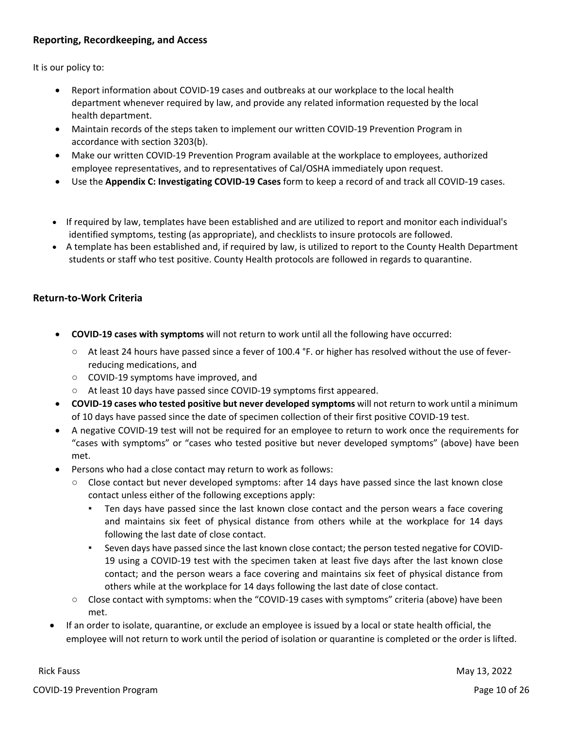# **Reporting, Recordkeeping, and Access**

It is our policy to:

- Report information about COVID-19 cases and outbreaks at our workplace to the local health department whenever required by law, and provide any related information requested by the local health department.
- Maintain records of the steps taken to implement our written COVID-19 Prevention Program in accordance with section 3203(b).
- Make our written COVID-19 Prevention Program available at the workplace to employees, authorized employee representatives, and to representatives of Cal/OSHA immediately upon request.
- Use the **Appendix C: Investigating COVID-19 Cases** form to keep a record of and track all COVID-19 cases.
- If required by law, templates have been established and are utilized to report and monitor each individual's identified symptoms, testing (as appropriate), and checklists to insure protocols are followed.
- A template has been established and, if required by law, is utilized to report to the County Health Department students or staff who test positive. County Health protocols are followed in regards to quarantine.

# **Return-to-Work Criteria**

- **COVID-19 cases with symptoms** will not return to work until all the following have occurred:
	- **○** At least 24 hours have passed since a fever of 100.4 °F. or higher has resolved without the use of feverreducing medications, and
	- **○** COVID-19 symptoms have improved, and
	- **○** At least 10 days have passed since COVID-19 symptoms first appeared.
- **COVID-19 cases who tested positive but never developed symptoms** will not return to work until a minimum of 10 days have passed since the date of specimen collection of their first positive COVID-19 test.
- A negative COVID-19 test will not be required for an employee to return to work once the requirements for "cases with symptoms" or "cases who tested positive but never developed symptoms" (above) have been met.
- Persons who had a close contact may return to work as follows:
	- Close contact but never developed symptoms: after 14 days have passed since the last known close contact unless either of the following exceptions apply:
		- Ten days have passed since the last known close contact and the person wears a face covering and maintains six feet of physical distance from others while at the workplace for 14 days following the last date of close contact.
		- Seven days have passed since the last known close contact; the person tested negative for COVID-19 using a COVID-19 test with the specimen taken at least five days after the last known close contact; and the person wears a face covering and maintains six feet of physical distance from others while at the workplace for 14 days following the last date of close contact.
	- Close contact with symptoms: when the "COVID-19 cases with symptoms" criteria (above) have been met.
- If an order to isolate, quarantine, or exclude an employee is issued by a local or state health official, the employee will not return to work until the period of isolation or quarantine is completed or the order is lifted.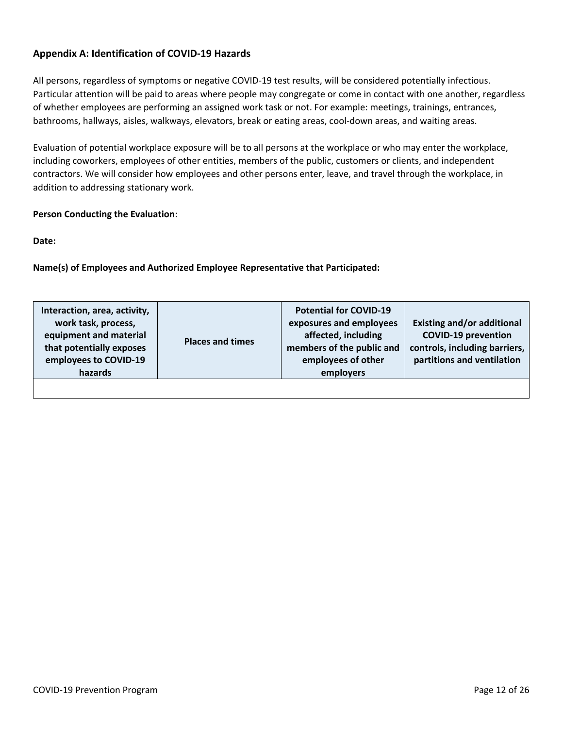# **Appendix A: Identification of COVID-19 Hazards**

All persons, regardless of symptoms or negative COVID-19 test results, will be considered potentially infectious. Particular attention will be paid to areas where people may congregate or come in contact with one another, regardless of whether employees are performing an assigned work task or not. For example: meetings, trainings, entrances, bathrooms, hallways, aisles, walkways, elevators, break or eating areas, cool-down areas, and waiting areas.

Evaluation of potential workplace exposure will be to all persons at the workplace or who may enter the workplace, including coworkers, employees of other entities, members of the public, customers or clients, and independent contractors. We will consider how employees and other persons enter, leave, and travel through the workplace, in addition to addressing stationary work.

# **Person Conducting the Evaluation**:

**Date:** 

**Name(s) of Employees and Authorized Employee Representative that Participated:**

| Interaction, area, activity,<br>work task, process,<br>equipment and material<br>that potentially exposes<br>employees to COVID-19<br>hazards | <b>Places and times</b> | <b>Potential for COVID-19</b><br>exposures and employees<br>affected, including<br>members of the public and<br>employees of other<br>employers | <b>Existing and/or additional</b><br><b>COVID-19 prevention</b><br>controls, including barriers,<br>partitions and ventilation |
|-----------------------------------------------------------------------------------------------------------------------------------------------|-------------------------|-------------------------------------------------------------------------------------------------------------------------------------------------|--------------------------------------------------------------------------------------------------------------------------------|
|                                                                                                                                               |                         |                                                                                                                                                 |                                                                                                                                |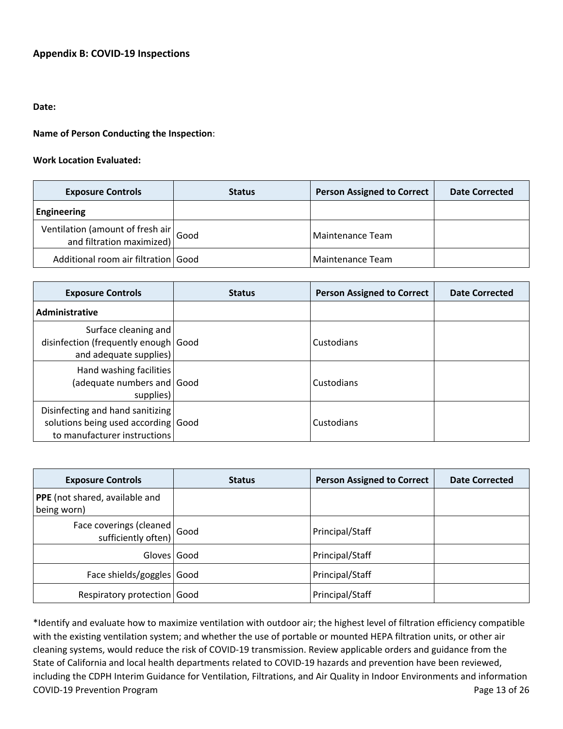# **Appendix B: COVID-19 Inspections**

### **Date:**

**Name of Person Conducting the Inspection**:

### **Work Location Evaluated:**

| <b>Exposure Controls</b>                                                                | <b>Status</b> | <b>Person Assigned to Correct</b> | <b>Date Corrected</b> |
|-----------------------------------------------------------------------------------------|---------------|-----------------------------------|-----------------------|
| Engineering                                                                             |               |                                   |                       |
| Ventilation (amount of fresh air $\vert$ Good<br>and filtration maximized) $\vert$ Good |               | Maintenance Team                  |                       |
| Additional room air filtration Good                                                     |               | Maintenance Team                  |                       |

| <b>Exposure Controls</b>                                                                                | <b>Status</b> | <b>Person Assigned to Correct</b> | <b>Date Corrected</b> |
|---------------------------------------------------------------------------------------------------------|---------------|-----------------------------------|-----------------------|
| Administrative                                                                                          |               |                                   |                       |
| Surface cleaning and<br>disinfection (frequently enough Good<br>and adequate supplies)                  |               | Custodians                        |                       |
| Hand washing facilities<br>(adequate numbers and Good<br>supplies)                                      |               | Custodians                        |                       |
| Disinfecting and hand sanitizing<br>solutions being used according Good<br>to manufacturer instructions |               | Custodians                        |                       |

| <b>Exposure Controls</b>                             | <b>Status</b> | <b>Person Assigned to Correct</b> | <b>Date Corrected</b> |
|------------------------------------------------------|---------------|-----------------------------------|-----------------------|
| PPE (not shared, available and<br>being worn)        |               |                                   |                       |
| Face coverings (cleaned $ $ Good sufficiently often) |               | Principal/Staff                   |                       |
| Gloves Good                                          |               | Principal/Staff                   |                       |
| Face shields/goggles Good                            |               | Principal/Staff                   |                       |
| Respiratory protection Good                          |               | Principal/Staff                   |                       |

COVID-19 Prevention Program **Page 13 of 26** and 26 and 26 and 26 and 26 and 26 and 26 and 26 and 26 and 26 and 26 and 26 and 26 and 26 and 26 and 26 and 26 and 26 and 26 and 26 and 26 and 26 and 26 and 26 and 26 and 26 and \*Identify and evaluate how to maximize ventilation with outdoor air; the highest level of filtration efficiency compatible with the existing ventilation system; and whether the use of portable or mounted HEPA filtration units, or other air cleaning systems, would reduce the risk of COVID-19 transmission. Review applicable orders and guidance from the State of California and local health departments related to COVID-19 hazards and prevention have been reviewed, including the CDPH Interim Guidance for Ventilation, Filtrations, and Air Quality in Indoor Environments and information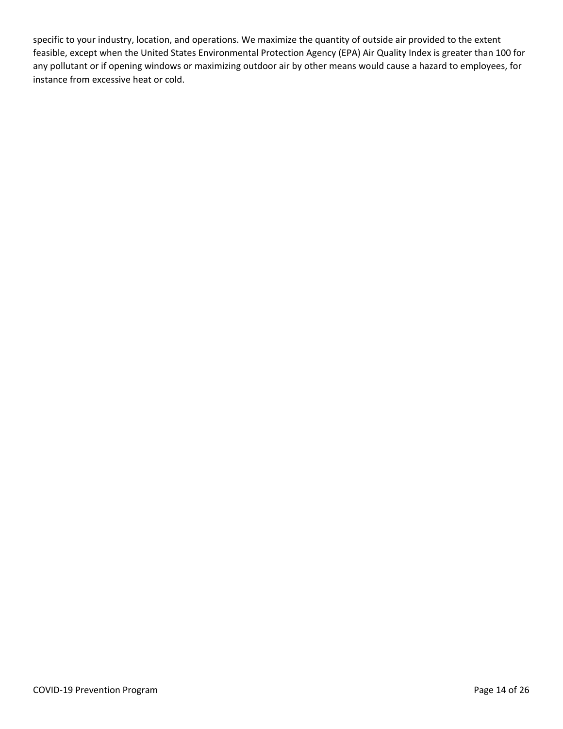specific to your industry, location, and operations. We maximize the quantity of outside air provided to the extent feasible, except when the United States Environmental Protection Agency (EPA) Air Quality Index is greater than 100 for any pollutant or if opening windows or maximizing outdoor air by other means would cause a hazard to employees, for instance from excessive heat or cold.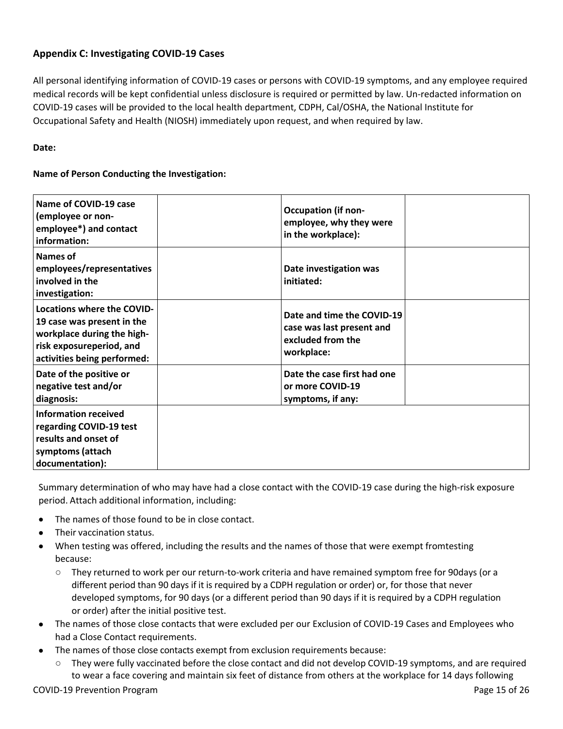# **Appendix C: Investigating COVID-19 Cases**

All personal identifying information of COVID-19 cases or persons with COVID-19 symptoms, and any employee required medical records will be kept confidential unless disclosure is required or permitted by law. Un-redacted information on COVID-19 cases will be provided to the local health department, CDPH, Cal/OSHA, the National Institute for Occupational Safety and Health (NIOSH) immediately upon request, and when required by law.

# **Date:**

# **Name of Person Conducting the Investigation:**

| Name of COVID-19 case<br>(employee or non-<br>employee*) and contact<br>information:                                                                     |            | <b>Occupation (if non-</b><br>employee, why they were<br>in the workplace):  |  |
|----------------------------------------------------------------------------------------------------------------------------------------------------------|------------|------------------------------------------------------------------------------|--|
| Names of<br>employees/representatives<br>involved in the<br>investigation:                                                                               | initiated: | Date investigation was                                                       |  |
| <b>Locations where the COVID-</b><br>19 case was present in the<br>workplace during the high-<br>risk exposureperiod, and<br>activities being performed: | workplace: | Date and time the COVID-19<br>case was last present and<br>excluded from the |  |
| Date of the positive or<br>negative test and/or<br>diagnosis:                                                                                            |            | Date the case first had one<br>or more COVID-19<br>symptoms, if any:         |  |
| <b>Information received</b><br>regarding COVID-19 test<br>results and onset of<br>symptoms (attach<br>documentation):                                    |            |                                                                              |  |

Summary determination of who may have had a close contact with the COVID-19 case during the high-risk exposure period. Attach additional information, including:

- **•** The names of those found to be in close contact.
- **•** Their vaccination status.
- When testing was offered, including the results and the names of those that were exempt fromtesting because:
	- They returned to work per our return-to-work criteria and have remained symptom free for 90 days (or a different period than 90 days if it is required by a CDPH regulation or order) or, for those that never developed symptoms, for 90 days (or a different period than 90 days if it is required by a CDPH regulation or order) after the initial positive test.
- **•** The names of those close contacts that were excluded per our Exclusion of COVID-19 Cases and Employees who had a Close Contact requirements.
- **•** The names of those close contacts exempt from exclusion requirements because:
	- **○** They were fully vaccinated before the close contact and did not develop COVID-19 symptoms, and are required to wear a face covering and maintain six feet of distance from others at the workplace for 14 days following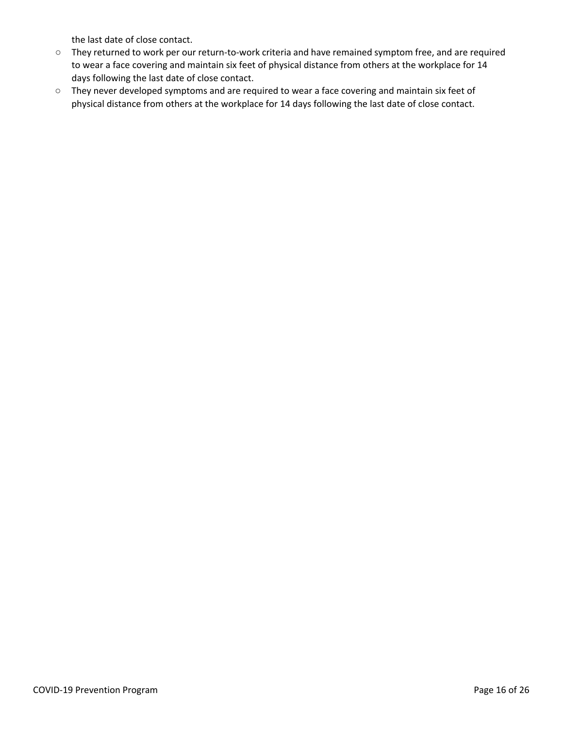the last date of close contact.

- **○** They returned to work per our return-to-work criteria and have remained symptom free, and are required to wear a face covering and maintain six feet of physical distance from others at the workplace for 14 days following the last date of close contact.
- **○** They never developed symptoms and are required to wear a face covering and maintain six feet of physical distance from others at the workplace for 14 days following the last date of close contact.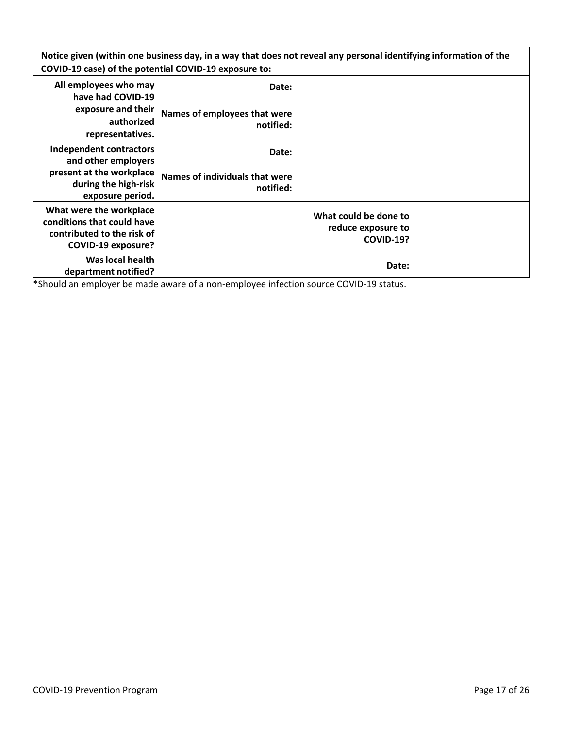**Notice given (within one business day, in a way that does not reveal any personal identifying information of the COVID-19 case) of the potential COVID-19 exposure to:**

| All employees who may                                                                                            | Date:                                       |                                                                 |  |
|------------------------------------------------------------------------------------------------------------------|---------------------------------------------|-----------------------------------------------------------------|--|
| have had COVID-19<br>exposure and their<br>authorized<br>representatives.                                        | Names of employees that were<br>notified:   |                                                                 |  |
| Independent contractors                                                                                          | Date:                                       |                                                                 |  |
| and other employers<br>present at the workplace<br>during the high-risk<br>exposure period.                      | Names of individuals that were<br>notified: |                                                                 |  |
| What were the workplace<br>conditions that could have<br>contributed to the risk of<br><b>COVID-19 exposure?</b> |                                             | What could be done to<br>reduce exposure to<br><b>COVID-19?</b> |  |
| Was local health<br>department notified?                                                                         |                                             | Date:                                                           |  |

\*Should an employer be made aware of a non-employee infection source COVID-19 status.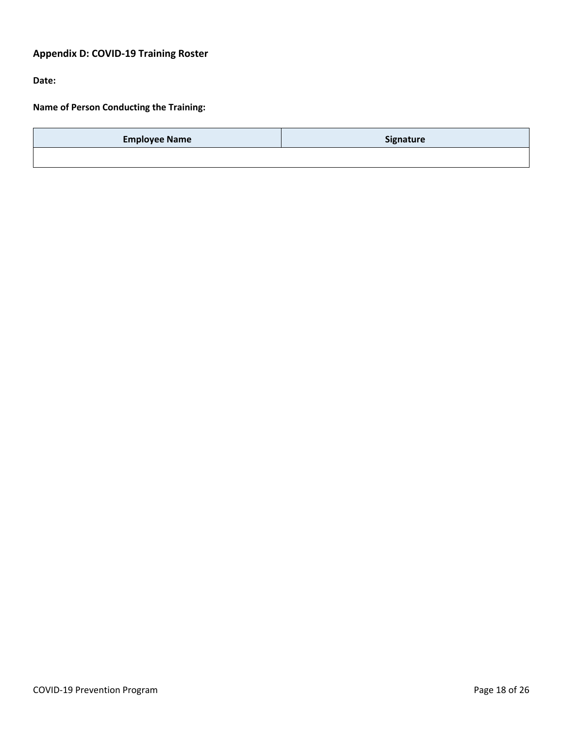# **Appendix D: COVID-19 Training Roster**

**Date:**

**Name of Person Conducting the Training:**

| <b>Employee Name</b> | Signature |
|----------------------|-----------|
|                      |           |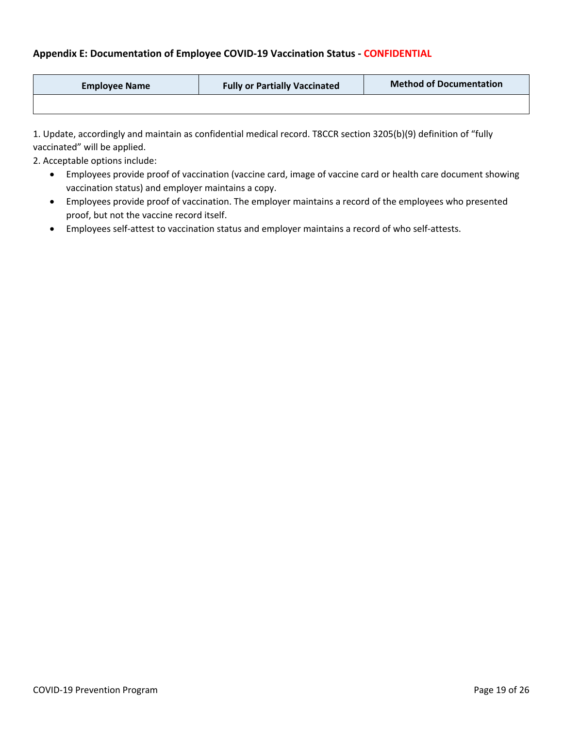# **Appendix E: Documentation of Employee COVID-19 Vaccination Status - CONFIDENTIAL**

| <b>Employee Name</b> | <b>Fully or Partially Vaccinated</b> | <b>Method of Documentation</b> |
|----------------------|--------------------------------------|--------------------------------|
|                      |                                      |                                |

1. Update, accordingly and maintain as confidential medical record. T8CCR section 3205(b)(9) definition of "fully vaccinated" will be applied.

2. Acceptable options include:

- Employees provide proof of vaccination (vaccine card, image of vaccine card or health care document showing vaccination status) and employer maintains a copy.
- Employees provide proof of vaccination. The employer maintains a record of the employees who presented proof, but not the vaccine record itself.
- Employees self-attest to vaccination status and employer maintains a record of who self-attests.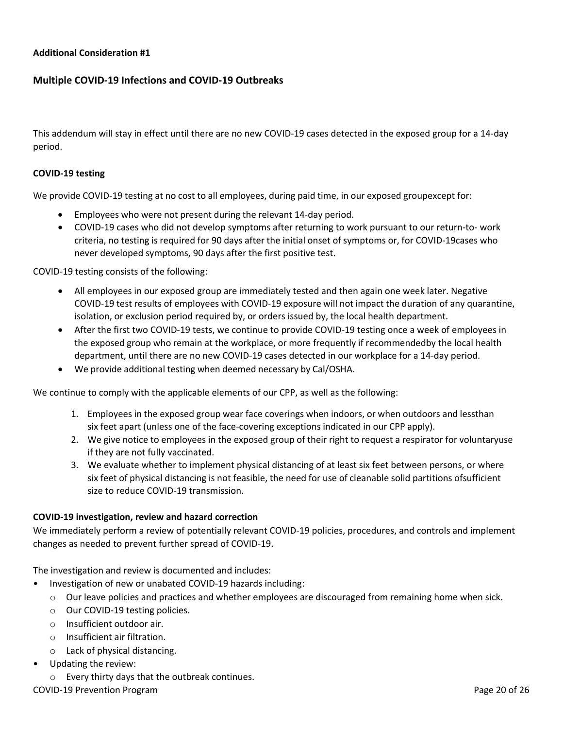### **Additional Consideration #1**

# **Multiple COVID-19 Infections and COVID-19 Outbreaks**

This addendum will stay in effect until there are no new COVID-19 cases detected in the exposed group for a 14-day period.

### **COVID-19 testing**

We provide COVID-19 testing at no cost to all employees, during paid time, in our exposed groupexcept for:

- Employees who were not present during the relevant 14-day period.
- COVID-19 cases who did not develop symptoms after returning to work pursuant to our return-to- work criteria, no testing is required for 90 days after the initial onset of symptoms or, for COVID-19 cases who never developed symptoms, 90 days after the first positive test.

COVID-19 testing consists of the following:

- All employees in our exposed group are immediately tested and then again one week later. Negative COVID-19 test results of employees with COVID-19 exposure will not impact the duration of any quarantine, isolation, or exclusion period required by, or orders issued by, the local health department.
- After the first two COVID-19 tests, we continue to provide COVID-19 testing once a week of employees in the exposed group who remain at the workplace, or more frequently if recommended by the local health department, until there are no new COVID-19 cases detected in our workplace for a 14-day period.
- We provide additional testing when deemed necessary by Cal/OSHA.

We continue to comply with the applicable elements of our CPP, as well as the following:

- 1. Employees in the exposed group wear face coverings when indoors, or when outdoors and lessthan six feet apart (unless one of the face-covering exceptions indicated in our CPP apply).
- 2. We give notice to employees in the exposed group of their right to request a respirator for voluntaryuse if they are not fully vaccinated.
- 3. We evaluate whether to implement physical distancing of at least six feet between persons, or where six feet of physical distancing is not feasible, the need for use of cleanable solid partitions of sufficient size to reduce COVID-19 transmission.

#### **COVID-19 investigation, review and hazard correction**

We immediately perform a review of potentially relevant COVID-19 policies, procedures, and controls and implement changes as needed to prevent further spread of COVID-19.

The investigation and review is documented and includes:

- Investigation of new or unabated COVID-19 hazards including:
	- o Our leave policies and practices and whether employees are discouraged from remaining home when sick.
	- o Our COVID-19 testing policies.
	- o Insufficient outdoor air.
	- o Insufficient air filtration.
	- o Lack of physical distancing.
- Updating the review:
	- o Every thirty days that the outbreak continues.

COVID-19 Prevention Program Page 20 of 26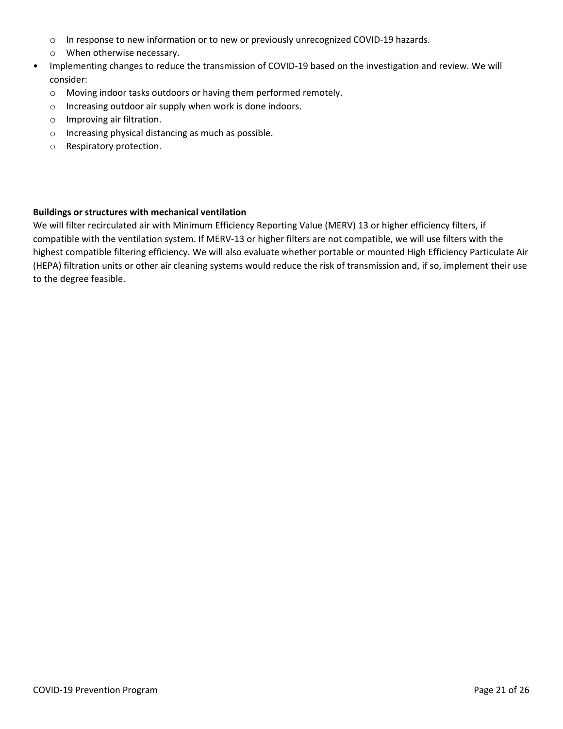- o In response to new information or to new or previously unrecognized COVID-19 hazards.
- o When otherwise necessary.
- Implementing changes to reduce the transmission of COVID-19 based on the investigation and review. We will consider:
	- o Moving indoor tasks outdoors or having them performed remotely.
	- o Increasing outdoor air supply when work is done indoors.
	- o Improving air filtration.
	- o Increasing physical distancing as much as possible.
	- o Respiratory protection.

### **Buildings or structures with mechanical ventilation**

We will filter recirculated air with Minimum Efficiency Reporting Value (MERV) 13 or higher efficiency filters, if compatible with the ventilation system. If MERV-13 or higher filters are not compatible, we will use filters with the highest compatible filtering efficiency. We will also evaluate whether portable or mounted High Efficiency Particulate Air (HEPA) filtration units or other air cleaning systems would reduce the risk of transmission and, if so, implement their use to the degree feasible.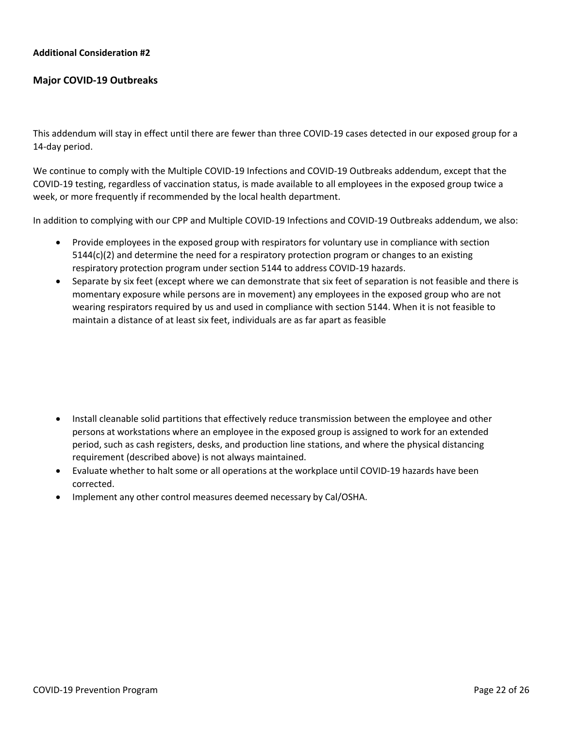### **Additional Consideration #2**

### **Major COVID-19 Outbreaks**

This addendum will stay in effect until there are fewer than three COVID-19 cases detected in our exposed group for a 14-day period.

We continue to comply with the Multiple COVID-19 Infections and COVID-19 Outbreaks addendum, except that the COVID-19 testing, regardless of vaccination status, is made available to all employees in the exposed group twice a week, or more frequently if recommended by the local health department.

In addition to complying with our CPP and Multiple COVID-19 Infections and COVID-19 Outbreaks addendum, we also:

- Provide employees in the exposed group with respirators for voluntary use in compliance with section 5144(c)(2) and determine the need for a respiratory protection program or changes to an existing respiratory protection program under section 5144 to address COVID-19 hazards.
- Separate by six feet (except where we can demonstrate that six feet of separation is not feasible and there is momentary exposure while persons are in movement) any employees in the exposed group who are not wearing respirators required by us and used in compliance with section 5144. When it is not feasible to maintain a distance of at least six feet, individuals are as far apart as feasible

- Install cleanable solid partitions that effectively reduce transmission between the employee and other persons at workstations where an employee in the exposed group is assigned to work for an extended period, such as cash registers, desks, and production line stations, and where the physical distancing requirement (described above) is not always maintained.
- Evaluate whether to halt some or all operations at the workplace until COVID-19 hazards have been corrected.
- Implement any other control measures deemed necessary by Cal/OSHA.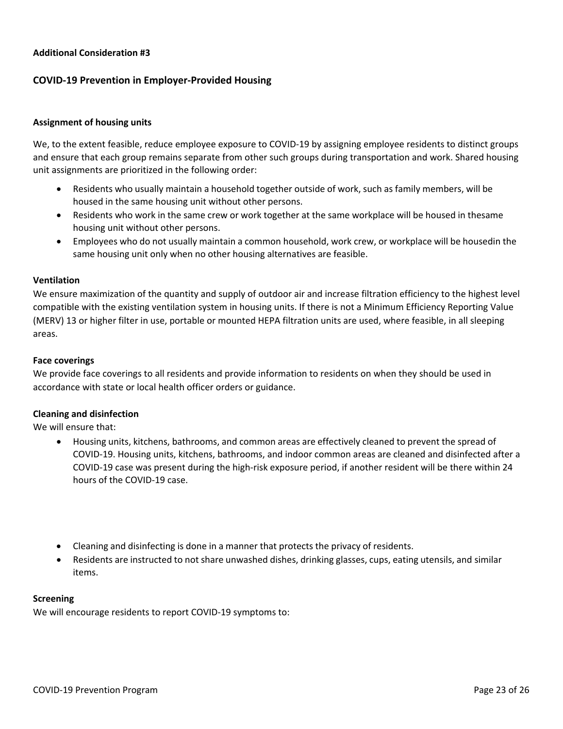### **Additional Consideration #3**

## **COVID-19 Prevention in Employer-Provided Housing**

### **Assignment of housing units**

We, to the extent feasible, reduce employee exposure to COVID-19 by assigning employee residents to distinct groups and ensure that each group remains separate from other such groups during transportation and work. Shared housing unit assignments are prioritized in the following order:

- Residents who usually maintain a household together outside of work, such as family members, will be housed in the same housing unit without other persons.
- Residents who work in the same crew or work together at the same workplace will be housed in the same housing unit without other persons.
- Employees who do not usually maintain a common household, work crew, or workplace will be housedin the same housing unit only when no other housing alternatives are feasible.

#### **Ventilation**

We ensure maximization of the quantity and supply of outdoor air and increase filtration efficiency to the highest level compatible with the existing ventilation system in housing units. If there is not a Minimum Efficiency Reporting Value (MERV) 13 or higher filter in use, portable or mounted HEPA filtration units are used, where feasible, in all sleeping areas.

#### **Face coverings**

We provide face coverings to all residents and provide information to residents on when they should be used in accordance with state or local health officer orders or guidance.

#### **Cleaning and disinfection**

We will ensure that:

- Housing units, kitchens, bathrooms, and common areas are effectively cleaned to prevent the spread of COVID-19. Housing units, kitchens, bathrooms, and indoor common areas are cleaned and disinfected after a COVID-19 case was present during the high-risk exposure period, if another resident will be there within 24 hours of the COVID-19 case.
- Cleaning and disinfecting is done in a manner that protects the privacy of residents.
- Residents are instructed to not share unwashed dishes, drinking glasses, cups, eating utensils, and similar items.

#### **Screening**

We will encourage residents to report COVID-19 symptoms to: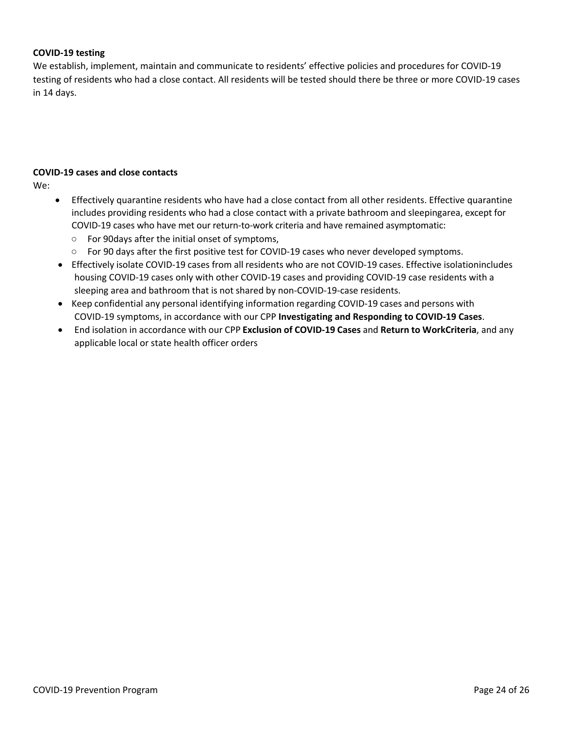### **COVID-19 testing**

We establish, implement, maintain and communicate to residents' effective policies and procedures for COVID-19 testing of residents who had a close contact. All residents will be tested should there be three or more COVID-19 cases in 14 days.

## **COVID-19 cases and close contacts**

We:

- Effectively quarantine residents who have had a close contact from all other residents. Effective quarantine includes providing residents who had a close contact with a private bathroom and sleepingarea, except for COVID-19 cases who have met our return-to-work criteria and have remained asymptomatic:
	- For 90 days after the initial onset of symptoms,
	- For 90 days after the first positive test for COVID-19 cases who never developed symptoms.
- Effectively isolate COVID-19 cases from all residents who are not COVID-19 cases. Effective isolationincludes housing COVID-19 cases only with other COVID-19 cases and providing COVID-19 case residents with a sleeping area and bathroom that is not shared by non-COVID-19-case residents.
- Keep confidential any personal identifying information regarding COVID-19 cases and persons with COVID-19 symptoms, in accordance with our CPP **Investigating and Responding to COVID-19 Cases**.
- End isolation in accordance with our CPP **Exclusion of COVID-19 Cases** and **Return to Work Criteria**, and any applicable local or state health officer orders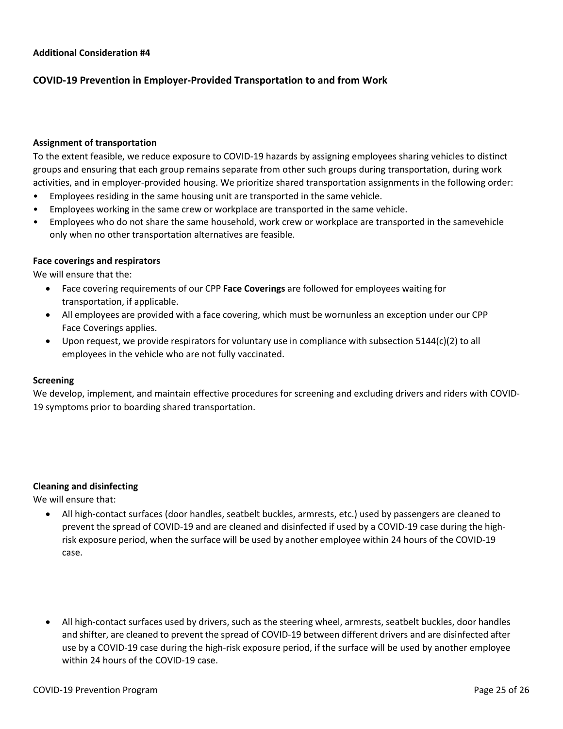# **COVID-19 Prevention in Employer-Provided Transportation to and from Work**

### **Assignment of transportation**

To the extent feasible, we reduce exposure to COVID-19 hazards by assigning employees sharing vehicles to distinct groups and ensuring that each group remains separate from other such groups during transportation, during work activities, and in employer-provided housing. We prioritize shared transportation assignments in the following order:

- Employees residing in the same housing unit are transported in the same vehicle.
- Employees working in the same crew or workplace are transported in the same vehicle.
- Employees who do not share the same household, work crew or workplace are transported in the samevehicle only when no other transportation alternatives are feasible.

### **Face coverings and respirators**

We will ensure that the:

- Face covering requirements of our CPP **Face Coverings** are followed for employees waiting for transportation, if applicable.
- All employees are provided with a face covering, which must be wornunless an exception under our CPP Face Coverings applies.
- Upon request, we provide respirators for voluntary use in compliance with subsection 5144(c)(2) to all employees in the vehicle who are not fully vaccinated.

#### **Screening**

We develop, implement, and maintain effective procedures for screening and excluding drivers and riders with COVID-19 symptoms prior to boarding shared transportation.

### **Cleaning and disinfecting**

We will ensure that:

- All high-contact surfaces (door handles, seatbelt buckles, armrests, etc.) used by passengers are cleaned to prevent the spread of COVID-19 and are cleaned and disinfected if used by a COVID-19 case during the highrisk exposure period, when the surface will be used by another employee within 24 hours of the COVID-19 case.
- All high-contact surfaces used by drivers, such as the steering wheel, armrests, seatbelt buckles, door handles and shifter, are cleaned to prevent the spread of COVID-19 between different drivers and are disinfected after use by a COVID-19 case during the high-risk exposure period, if the surface will be used by another employee within 24 hours of the COVID-19 case.